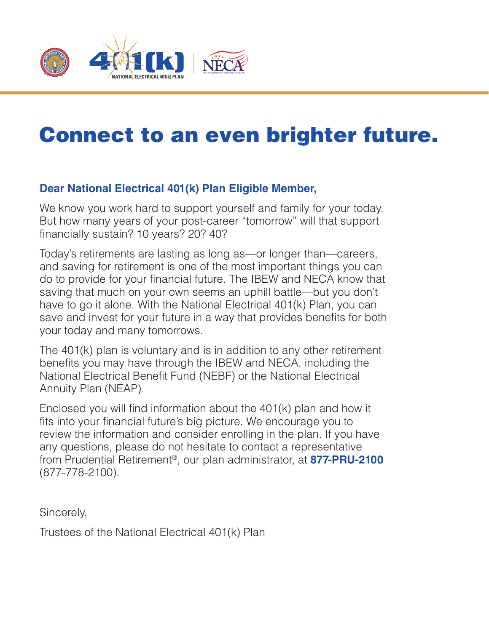

# Connect to an even brighter future.

## **Dear National Electrical 401(k) Plan Eligible Member,**

We know you work hard to support yourself and family for your today. But how many years of your post-career "tomorrow" will that support financially sustain? 10 years? 20? 40?

Today's retirements are lasting as long as—or longer than—careers, and saving for retirement is one of the most important things you can do to provide for your financial future. The IBEW and NECA know that saving that much on your own seems an uphill battle—but you don't have to go it alone. With the National Electrical 401(k) Plan, you can save and invest for your future in a way that provides benefits for both your today and many tomorrows.

The 401(k) plan is voluntary and is in addition to any other retirement benefits you may have through the IBEW and NECA, including the National Electrical Benefit Fund (NEBF) or the National Electrical Annuity Plan (NEAP).

Enclosed you will find information about the 401(k) plan and how it fits into your financial future's big picture. We encourage you to review the information and consider enrolling in the plan. If you have any questions, please do not hesitate to contact a representative from Prudential Retirement®, our plan administrator, at **877-PRU-2100** (877-778-2100).

Sincerely,

Trustees of the National Electrical 401(k) Plan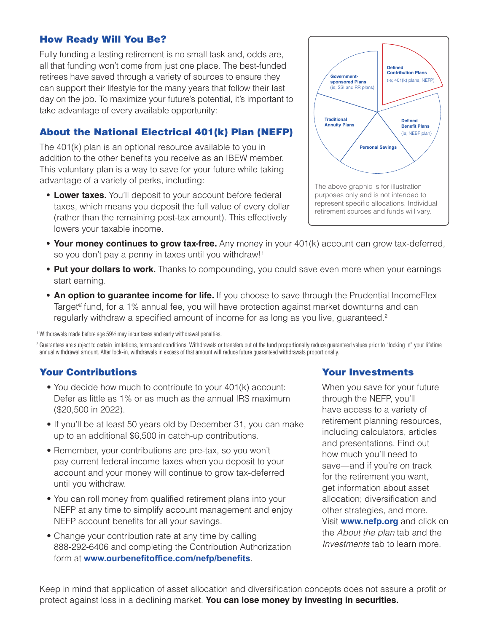#### How Ready Will You Be?

Fully funding a lasting retirement is no small task and, odds are, all that funding won't come from just one place. The best-funded retirees have saved through a variety of sources to ensure they can support their lifestyle for the many years that follow their last day on the job. To maximize your future's potential, it's important to take advantage of every available opportunity:

### About the National Electrical 401(k) Plan (NEFP)

The 401(k) plan is an optional resource available to you in addition to the other benefits you receive as an IBEW member. This voluntary plan is a way to save for your future while taking advantage of a variety of perks, including:

**• Lower taxes.** You'll deposit to your account before federal taxes, which means you deposit the full value of every dollar (rather than the remaining post-tax amount). This effectively lowers your taxable income.



- **• Your money continues to grow tax-free.** Any money in your 401(k) account can grow tax-deferred, so you don't pay a penny in taxes until you withdraw!<sup>1</sup>
- **• Put your dollars to work.** Thanks to compounding, you could save even more when your earnings start earning.
- An option to quarantee income for life. If you choose to save through the Prudential IncomeFlex Target® fund, for a 1% annual fee, you will have protection against market downturns and can regularly withdraw a specified amount of income for as long as you live, quaranteed. $2^2$

<sup>1</sup> Withdrawals made before age 59½ may incur taxes and early withdrawal penalties.

<sup>2</sup> Guarantees are subject to certain limitations, terms and conditions. Withdrawals or transfers out of the fund proportionally reduce quaranteed values prior to "locking in" your lifetime annual withdrawal amount. After lock-in, withdrawals in excess of that amount will reduce future guaranteed withdrawals proportionally.

#### Your Contributions

- You decide how much to contribute to your 401(k) account: Defer as little as 1% or as much as the annual IRS maximum (\$20,500 in 2022).
- If you'll be at least 50 years old by December 31, you can make up to an additional \$6,500 in catch-up contributions.
- Remember, your contributions are pre-tax, so you won't pay current federal income taxes when you deposit to your account and your money will continue to grow tax-deferred until you withdraw.
- You can roll money from qualified retirement plans into your NEFP at any time to simplify account management and enjoy NEFP account benefits for all your savings.
- Change your contribution rate at any time by calling 888-292-6406 and completing the Contribution Authorization form at **[www.ourbenefitoffice.com/nefp/benefits](http://www.ourbenefitoffice.com/nefp/benefits)**.

#### Your Investments

When you save for your future through the NEFP, you'll have access to a variety of retirement planning resources, including calculators, articles and presentations. Find out how much you'll need to save—and if you're on track for the retirement you want, get information about asset allocation; diversification and other strategies, and more. Visit **[www.nefp.org](http://www.nefp.org)** and click on the *About the plan* tab and the *Investments* tab to learn more.

Keep in mind that application of asset allocation and diversification concepts does not assure a profit or protect against loss in a declining market. **You can lose money by investing in securities.**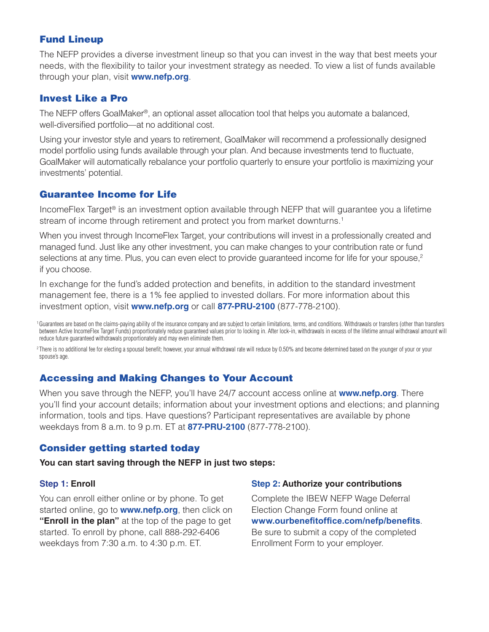#### Fund Lineup

The NEFP provides a diverse investment lineup so that you can invest in the way that best meets your needs, with the flexibility to tailor your investment strategy as needed. To view a list of funds available through your plan, visit **[www.nefp.org](http://www.nefp.org)**.

#### Invest Like a Pro

The NEFP offers GoalMaker®, an optional asset allocation tool that helps you automate a balanced, well-diversified portfolio—at no additional cost.

Using your investor style and years to retirement, GoalMaker will recommend a professionally designed model portfolio using funds available through your plan. And because investments tend to fluctuate, GoalMaker will automatically rebalance your portfolio quarterly to ensure your portfolio is maximizing your investments' potential.

#### Guarantee Income for Life

IncomeFlex Target® is an investment option available through NEFP that will guarantee you a lifetime stream of income through retirement and protect you from market downturns.<sup>1</sup>

When you invest through IncomeFlex Target, your contributions will invest in a professionally created and managed fund. Just like any other investment, you can make changes to your contribution rate or fund selections at any time. Plus, you can even elect to provide guaranteed income for life for your spouse,<sup>2</sup> if you choose.

In exchange for the fund's added protection and benefits, in addition to the standard investment management fee, there is a 1% fee applied to invested dollars. For more information about this investment option, visit **[www.nefp.org](http://www.nefp.org)** or call **877-PRU-2100** (877-778-2100).

<sup>1</sup> Guarantees are based on the claims-paying ability of the insurance company and are subject to certain limitations, terms, and conditions. Withdrawals or transfers (other than transfers between Active IncomeFlex Target Funds) proportionately reduce quaranteed values prior to locking in. After lock-in, withdrawals in excess of the lifetime annual withdrawal amount will reduce future guaranteed withdrawals proportionately and may even eliminate them.

<sup>2</sup>There is no additional fee for electing a spousal benefit; however, your annual withdrawal rate will reduce by 0.50% and become determined based on the younger of your or your spouse's age.

#### Accessing and Making Changes to Your Account

When you save through the NEFP, you'll have 24/7 account access online at **[www.nefp.org](http://www.nefp.org)**. There you'll find your account details; information about your investment options and elections; and planning information, tools and tips. Have questions? Participant representatives are available by phone weekdays from 8 a.m. to 9 p.m. ET at **877-PRU-2100** (877-778-2100).

#### Consider getting started today

**You can start saving through the NEFP in just two steps:**

#### **Step 1: Enroll**

You can enroll either online or by phone. To get started online, go to **[www.nefp.org](http://www.nefp.org)**, then click on **"Enroll in the plan"** at the top of the page to get started. To enroll by phone, call 888-292-6406 weekdays from 7:30 a.m. to 4:30 p.m. ET.

#### **Step 2: Authorize your contributions**

Complete the IBEW NEFP Wage Deferral Election Change Form found online at **[www.ourbenefitoffice.com/nefp/benefits](http://www.ourbenefitoffice.com/nefp/benefits)**. Be sure to submit a copy of the completed Enrollment Form to your employer.